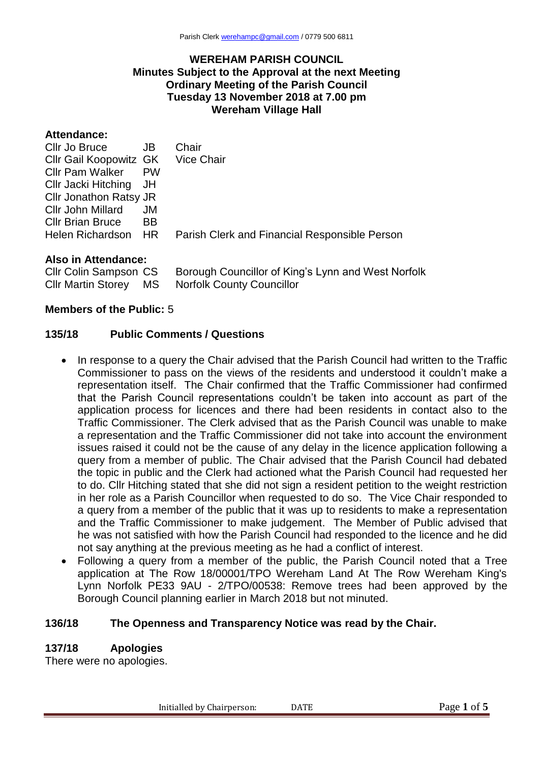### **WEREHAM PARISH COUNCIL Minutes Subject to the Approval at the next Meeting Ordinary Meeting of the Parish Council Tuesday 13 November 2018 at 7.00 pm Wereham Village Hall**

| Attendance:             |           |                                               |
|-------------------------|-----------|-----------------------------------------------|
| Cllr Jo Bruce           | JB        | Chair                                         |
| Cllr Gail Koopowitz GK  |           | Vice Chair                                    |
| <b>Cllr Pam Walker</b>  | <b>PW</b> |                                               |
| Cllr Jacki Hitching JH  |           |                                               |
| Cllr Jonathon Ratsy JR  |           |                                               |
| Cllr John Millard       | JM.       |                                               |
| <b>CIIr Brian Bruce</b> | <b>BB</b> |                                               |
| Helen Richardson HR     |           | Parish Clerk and Financial Responsible Person |
|                         |           |                                               |

### **Also in Attendance:**

Cllr Colin Sampson CS Borough Councillor of King's Lynn and West Norfolk Cllr Martin Storey MS Norfolk County Councillor

### **Members of the Public:** 5

#### **135/18 Public Comments / Questions**

- In response to a query the Chair advised that the Parish Council had written to the Traffic Commissioner to pass on the views of the residents and understood it couldn't make a representation itself. The Chair confirmed that the Traffic Commissioner had confirmed that the Parish Council representations couldn't be taken into account as part of the application process for licences and there had been residents in contact also to the Traffic Commissioner. The Clerk advised that as the Parish Council was unable to make a representation and the Traffic Commissioner did not take into account the environment issues raised it could not be the cause of any delay in the licence application following a query from a member of public. The Chair advised that the Parish Council had debated the topic in public and the Clerk had actioned what the Parish Council had requested her to do. Cllr Hitching stated that she did not sign a resident petition to the weight restriction in her role as a Parish Councillor when requested to do so. The Vice Chair responded to a query from a member of the public that it was up to residents to make a representation and the Traffic Commissioner to make judgement. The Member of Public advised that he was not satisfied with how the Parish Council had responded to the licence and he did not say anything at the previous meeting as he had a conflict of interest.
- Following a query from a member of the public, the Parish Council noted that a Tree application at The Row 18/00001/TPO Wereham Land At The Row Wereham King's Lynn Norfolk PE33 9AU - 2/TPO/00538: Remove trees had been approved by the Borough Council planning earlier in March 2018 but not minuted.

# **136/18 The Openness and Transparency Notice was read by the Chair.**

# **137/18 Apologies**

There were no apologies.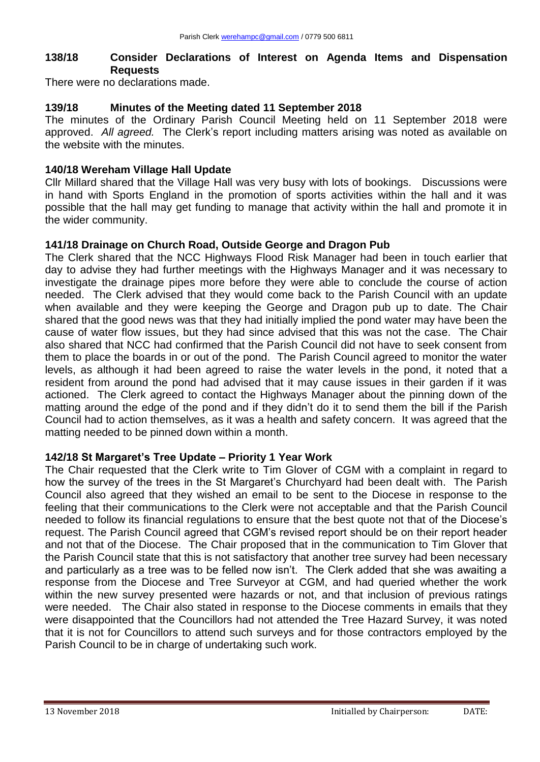# **138/18 Consider Declarations of Interest on Agenda Items and Dispensation Requests**

There were no declarations made.

# **139/18 Minutes of the Meeting dated 11 September 2018**

The minutes of the Ordinary Parish Council Meeting held on 11 September 2018 were approved. *All agreed.* The Clerk's report including matters arising was noted as available on the website with the minutes.

# **140/18 Wereham Village Hall Update**

Cllr Millard shared that the Village Hall was very busy with lots of bookings. Discussions were in hand with Sports England in the promotion of sports activities within the hall and it was possible that the hall may get funding to manage that activity within the hall and promote it in the wider community.

# **141/18 Drainage on Church Road, Outside George and Dragon Pub**

The Clerk shared that the NCC Highways Flood Risk Manager had been in touch earlier that day to advise they had further meetings with the Highways Manager and it was necessary to investigate the drainage pipes more before they were able to conclude the course of action needed. The Clerk advised that they would come back to the Parish Council with an update when available and they were keeping the George and Dragon pub up to date. The Chair shared that the good news was that they had initially implied the pond water may have been the cause of water flow issues, but they had since advised that this was not the case. The Chair also shared that NCC had confirmed that the Parish Council did not have to seek consent from them to place the boards in or out of the pond. The Parish Council agreed to monitor the water levels, as although it had been agreed to raise the water levels in the pond, it noted that a resident from around the pond had advised that it may cause issues in their garden if it was actioned. The Clerk agreed to contact the Highways Manager about the pinning down of the matting around the edge of the pond and if they didn't do it to send them the bill if the Parish Council had to action themselves, as it was a health and safety concern. It was agreed that the matting needed to be pinned down within a month.

# **142/18 St Margaret's Tree Update – Priority 1 Year Work**

The Chair requested that the Clerk write to Tim Glover of CGM with a complaint in regard to how the survey of the trees in the St Margaret's Churchyard had been dealt with. The Parish Council also agreed that they wished an email to be sent to the Diocese in response to the feeling that their communications to the Clerk were not acceptable and that the Parish Council needed to follow its financial regulations to ensure that the best quote not that of the Diocese's request. The Parish Council agreed that CGM's revised report should be on their report header and not that of the Diocese. The Chair proposed that in the communication to Tim Glover that the Parish Council state that this is not satisfactory that another tree survey had been necessary and particularly as a tree was to be felled now isn't. The Clerk added that she was awaiting a response from the Diocese and Tree Surveyor at CGM, and had queried whether the work within the new survey presented were hazards or not, and that inclusion of previous ratings were needed. The Chair also stated in response to the Diocese comments in emails that they were disappointed that the Councillors had not attended the Tree Hazard Survey, it was noted that it is not for Councillors to attend such surveys and for those contractors employed by the Parish Council to be in charge of undertaking such work.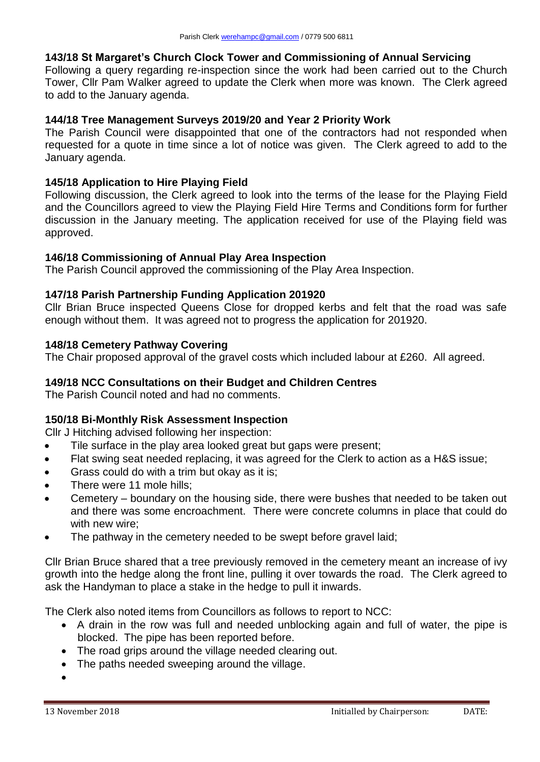# **143/18 St Margaret's Church Clock Tower and Commissioning of Annual Servicing**

Following a query regarding re-inspection since the work had been carried out to the Church Tower, Cllr Pam Walker agreed to update the Clerk when more was known. The Clerk agreed to add to the January agenda.

# **144/18 Tree Management Surveys 2019/20 and Year 2 Priority Work**

The Parish Council were disappointed that one of the contractors had not responded when requested for a quote in time since a lot of notice was given. The Clerk agreed to add to the January agenda.

## **145/18 Application to Hire Playing Field**

Following discussion, the Clerk agreed to look into the terms of the lease for the Playing Field and the Councillors agreed to view the Playing Field Hire Terms and Conditions form for further discussion in the January meeting. The application received for use of the Playing field was approved.

### **146/18 Commissioning of Annual Play Area Inspection**

The Parish Council approved the commissioning of the Play Area Inspection.

# **147/18 Parish Partnership Funding Application 201920**

Cllr Brian Bruce inspected Queens Close for dropped kerbs and felt that the road was safe enough without them. It was agreed not to progress the application for 201920.

### **148/18 Cemetery Pathway Covering**

The Chair proposed approval of the gravel costs which included labour at £260. All agreed.

## **149/18 NCC Consultations on their Budget and Children Centres**

The Parish Council noted and had no comments.

# **150/18 Bi-Monthly Risk Assessment Inspection**

Cllr J Hitching advised following her inspection:

- Tile surface in the play area looked great but gaps were present;
- Flat swing seat needed replacing, it was agreed for the Clerk to action as a H&S issue;
- Grass could do with a trim but okay as it is;
- There were 11 mole hills;
- Cemetery boundary on the housing side, there were bushes that needed to be taken out and there was some encroachment. There were concrete columns in place that could do with new wire;
- The pathway in the cemetery needed to be swept before gravel laid;

Cllr Brian Bruce shared that a tree previously removed in the cemetery meant an increase of ivy growth into the hedge along the front line, pulling it over towards the road. The Clerk agreed to ask the Handyman to place a stake in the hedge to pull it inwards.

The Clerk also noted items from Councillors as follows to report to NCC:

- A drain in the row was full and needed unblocking again and full of water, the pipe is blocked. The pipe has been reported before.
- The road grips around the village needed clearing out.
- The paths needed sweeping around the village.
- $\bullet$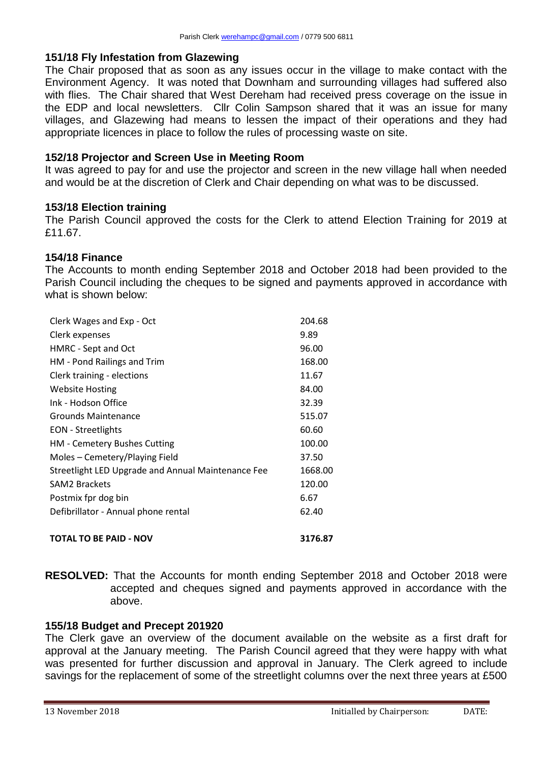### **151/18 Fly Infestation from Glazewing**

The Chair proposed that as soon as any issues occur in the village to make contact with the Environment Agency. It was noted that Downham and surrounding villages had suffered also with flies. The Chair shared that West Dereham had received press coverage on the issue in the EDP and local newsletters. Cllr Colin Sampson shared that it was an issue for many villages, and Glazewing had means to lessen the impact of their operations and they had appropriate licences in place to follow the rules of processing waste on site.

## **152/18 Projector and Screen Use in Meeting Room**

It was agreed to pay for and use the projector and screen in the new village hall when needed and would be at the discretion of Clerk and Chair depending on what was to be discussed.

### **153/18 Election training**

The Parish Council approved the costs for the Clerk to attend Election Training for 2019 at £11.67.

#### **154/18 Finance**

The Accounts to month ending September 2018 and October 2018 had been provided to the Parish Council including the cheques to be signed and payments approved in accordance with what is shown below:

| Clerk Wages and Exp - Oct                          | 204.68  |
|----------------------------------------------------|---------|
| Clerk expenses                                     | 9.89    |
| HMRC - Sept and Oct                                | 96.00   |
| HM - Pond Railings and Trim                        | 168.00  |
| Clerk training - elections                         | 11.67   |
| <b>Website Hosting</b>                             | 84.00   |
| Ink - Hodson Office                                | 32.39   |
| Grounds Maintenance                                | 515.07  |
| <b>EON</b> - Streetlights                          | 60.60   |
| HM - Cemetery Bushes Cutting                       | 100.00  |
| Moles – Cemetery/Playing Field                     | 37.50   |
| Streetlight LED Upgrade and Annual Maintenance Fee | 1668.00 |
| <b>SAM2 Brackets</b>                               | 120.00  |
| Postmix fpr dog bin                                | 6.67    |
| Defibrillator - Annual phone rental                | 62.40   |
| <b>TOTAL TO BE PAID - NOV</b>                      | 3176.87 |

# **RESOLVED:** That the Accounts for month ending September 2018 and October 2018 were accepted and cheques signed and payments approved in accordance with the above.

#### **155/18 Budget and Precept 201920**

The Clerk gave an overview of the document available on the website as a first draft for approval at the January meeting. The Parish Council agreed that they were happy with what was presented for further discussion and approval in January. The Clerk agreed to include savings for the replacement of some of the streetlight columns over the next three years at £500